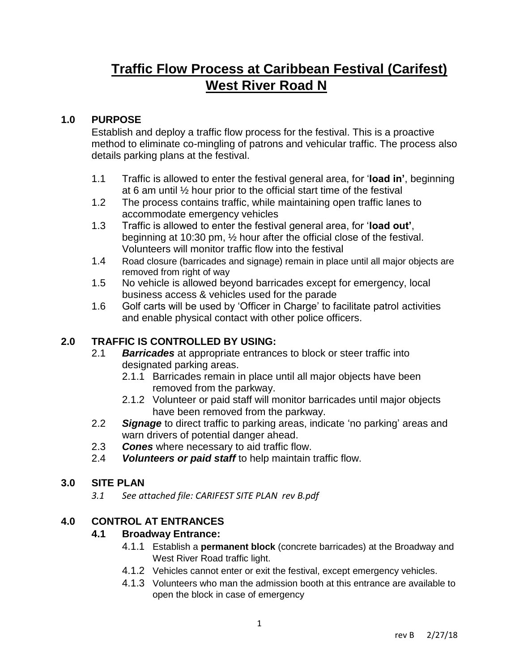# **Traffic Flow Process at Caribbean Festival (Carifest) West River Road N**

#### **1.0 PURPOSE**

Establish and deploy a traffic flow process for the festival. This is a proactive method to eliminate co-mingling of patrons and vehicular traffic. The process also details parking plans at the festival.

- 1.1 Traffic is allowed to enter the festival general area, for '**load in'**, beginning at 6 am until ½ hour prior to the official start time of the festival
- 1.2 The process contains traffic, while maintaining open traffic lanes to accommodate emergency vehicles
- 1.3 Traffic is allowed to enter the festival general area, for '**load out'**, beginning at 10:30 pm, ½ hour after the official close of the festival. Volunteers will monitor traffic flow into the festival
- 1.4 Road closure (barricades and signage) remain in place until all major objects are removed from right of way
- 1.5 No vehicle is allowed beyond barricades except for emergency, local business access & vehicles used for the parade
- 1.6 Golf carts will be used by 'Officer in Charge' to facilitate patrol activities and enable physical contact with other police officers.

### **2.0 TRAFFIC IS CONTROLLED BY USING:**

- 2.1 *Barricades* at appropriate entrances to block or steer traffic into designated parking areas.
	- 2.1.1 Barricades remain in place until all major objects have been removed from the parkway.
	- 2.1.2 Volunteer or paid staff will monitor barricades until major objects have been removed from the parkway.
- 2.2 *Signage* to direct traffic to parking areas, indicate 'no parking' areas and warn drivers of potential danger ahead.
- 2.3 *Cones* where necessary to aid traffic flow.
- 2.4 *Volunteers or paid staff* to help maintain traffic flow.

#### **3.0 SITE PLAN**

*3.1 See attached file: CARIFEST SITE PLAN rev B.pdf*

### **4.0 CONTROL AT ENTRANCES**

#### **4.1 Broadway Entrance:**

- 4.1.1 Establish a **permanent block** (concrete barricades) at the Broadway and West River Road traffic light.
- 4.1.2 Vehicles cannot enter or exit the festival, except emergency vehicles.
- 4.1.3 Volunteers who man the admission booth at this entrance are available to open the block in case of emergency